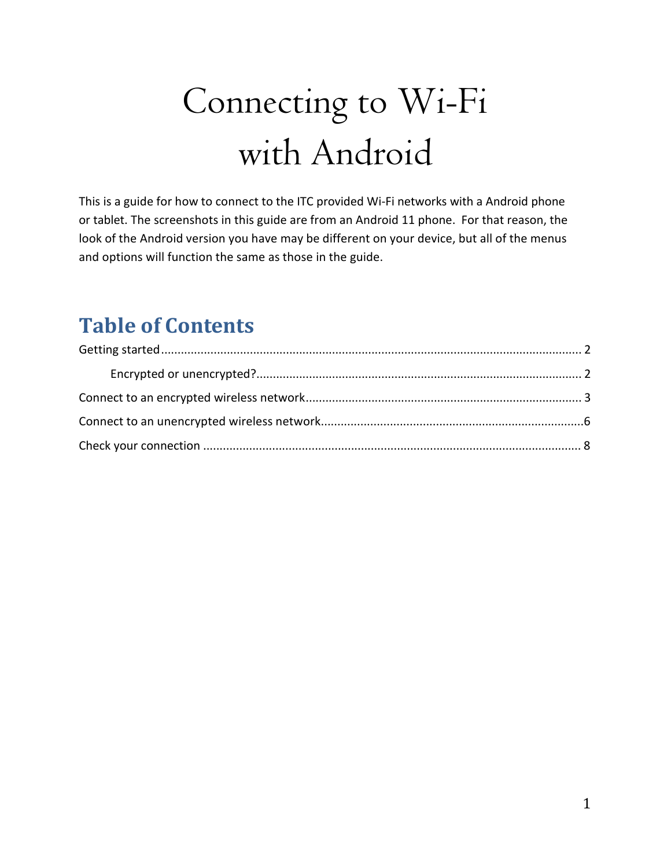# Connecting to Wi-Fi with Android

This is a guide for how to connect to the ITC provided Wi-Fi networks with a Android phone or tablet. The screenshots in this guide are from an Android 11 phone. For that reason, the look of the Android version you have may be different on your device, but all of the menus and options will function the same as those in the guide.

## **Table of Contents**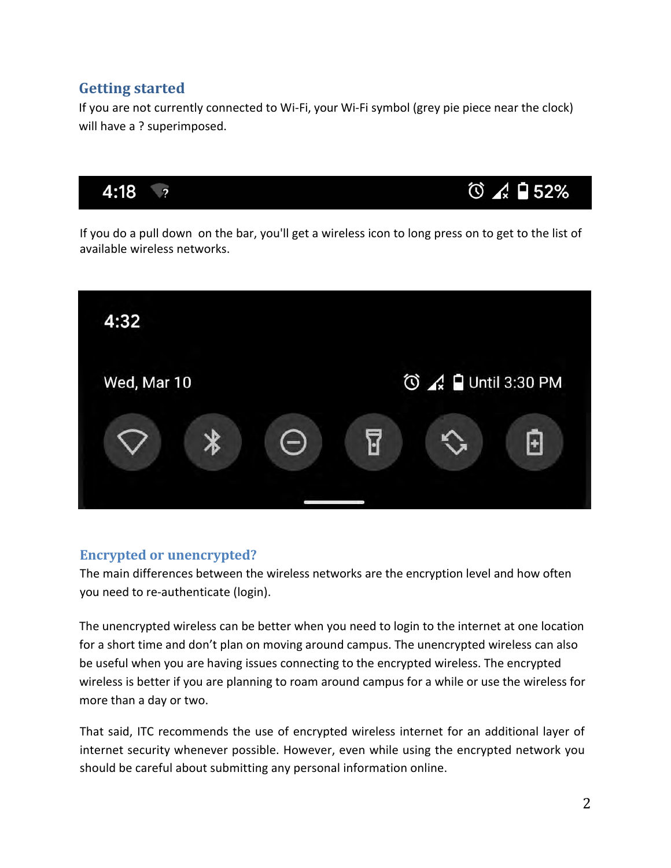#### **Getting started**

If you are not currently connected to Wi-Fi, your Wi-Fi symbol (grey pie piece near the clock) will have a ? superimposed.



If you do a pull down on the bar, you'll get a wireless icon to long press on to get to the list of available wireless networks.



#### **Encrypted or unencrypted?**

The main differences between the wireless networks are the encryption level and how often you need to re-authenticate (login).

The unencrypted wireless can be better when you need to login to the internet at one location for a short time and don't plan on moving around campus. The unencrypted wireless can also be useful when you are having issues connecting to the encrypted wireless. The encrypted wireless is better if you are planning to roam around campus for a while or use the wireless for more than a day or two.

That said, ITC recommends the use of encrypted wireless internet for an additional layer of internet security whenever possible. However, even while using the encrypted network you should be careful about submitting any personal information online.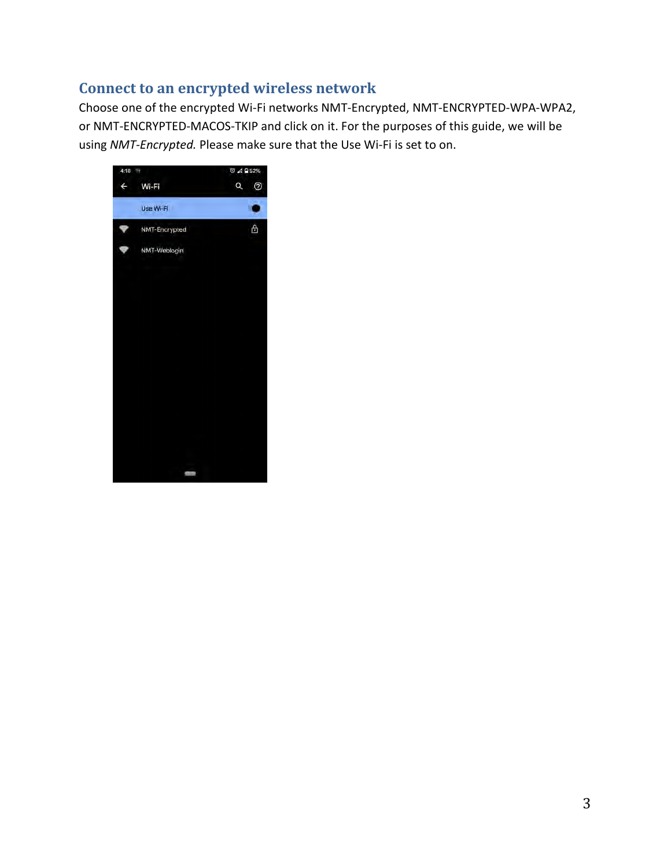#### **Connect to an encrypted wireless network**

Choose one of the encrypted Wi-Fi networks NMT-Encrypted, NMT-ENCRYPTED-WPA-WPA2, or NMT-ENCRYPTED-MACOS-TKIP and click on it. For the purposes of this guide, we will be using *NMT-Encrypted.* Please make sure that the Use Wi-Fi is set to on.

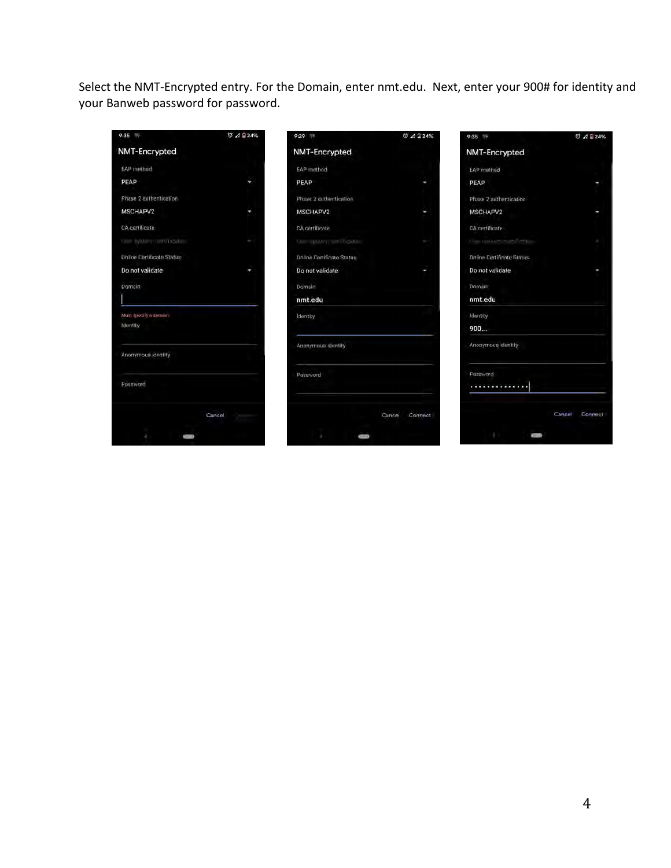Select the NMT-Encrypted entry. For the Domain, enter nmt.edu. Next, enter your 900# for identity and your Banweb password for password.

| 9:357                            | で 4 日24%                         | 9:29                             | ◎ 4 24%           | 9:357                            | ◎ 4 日 24%         |
|----------------------------------|----------------------------------|----------------------------------|-------------------|----------------------------------|-------------------|
| <b>NMT-Encrypted</b>             |                                  | <b>NMT-Encrypted</b>             |                   | <b>NMT-Encrypted</b>             |                   |
| EAP method                       |                                  | <b>EAP</b> method                |                   | EAP method                       |                   |
| PEAP                             | ٠                                | PEAP                             | ٠                 | PEAP                             | ٠                 |
| Phase 2 authentication           |                                  | Phase 2 authentication           |                   | Phase 2 authentication           |                   |
| MSCHAPV2                         | P.                               | MSCHAPV2                         | ×                 | MSCHAPV2                         | ٠                 |
| CA certificate                   |                                  | CA certificate                   |                   | CA certificate                   |                   |
| <b>Case Sylutery cent Widoba</b> | ×.                               | Use and thousand                 | ÷                 | Constitution of the China        | P.                |
| Online Certificate Status        |                                  | <b>Online Certificate Status</b> |                   | <b>Online Certificate Status</b> |                   |
| Do not validate                  | ł,                               | Do not validate                  | ı                 | Do not validate                  | ٠                 |
| Domain                           |                                  | Domain                           |                   | Domain                           |                   |
|                                  |                                  | nmt.edu                          |                   | nmt.edu                          |                   |
| Must specify a damain            |                                  | <b>Identity</b>                  |                   | Identity                         |                   |
| <b>Identity</b>                  |                                  |                                  |                   | 900                              |                   |
| Anonymous Identity               |                                  | Anonymous identity               |                   | Anonymous identity               |                   |
|                                  |                                  | Password                         |                   | Password                         |                   |
| Password                         |                                  |                                  |                   | ,,,,,,,,,,,,,,,                  |                   |
|                                  | Cancel.<br><b>College Street</b> |                                  | Cancel<br>Connect |                                  | Cancel<br>Connect |
|                                  |                                  |                                  |                   |                                  |                   |
|                                  |                                  | ٠                                |                   |                                  |                   |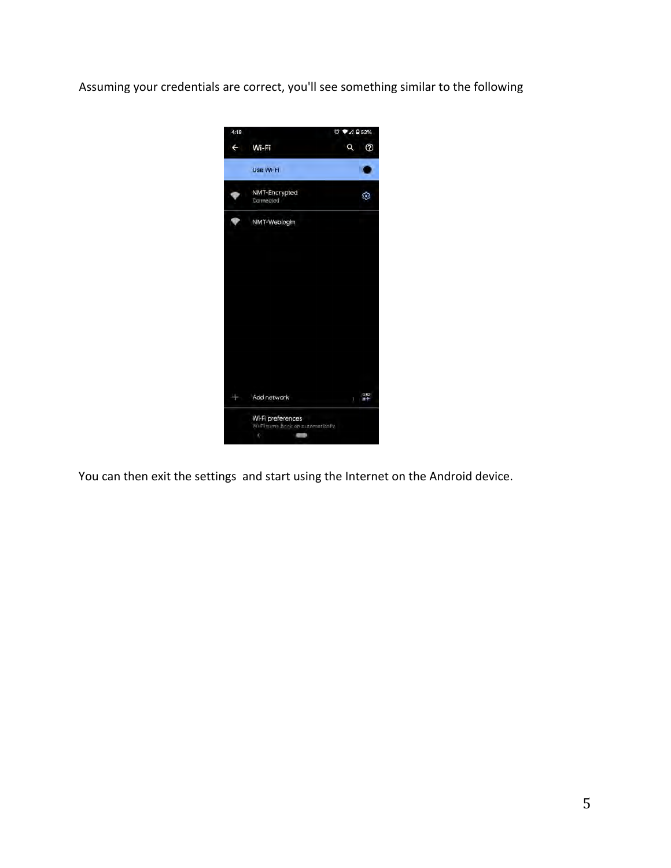Assuming your credentials are correct, you'll see something similar to the following



You can then exit the settings and start using the Internet on the Android device.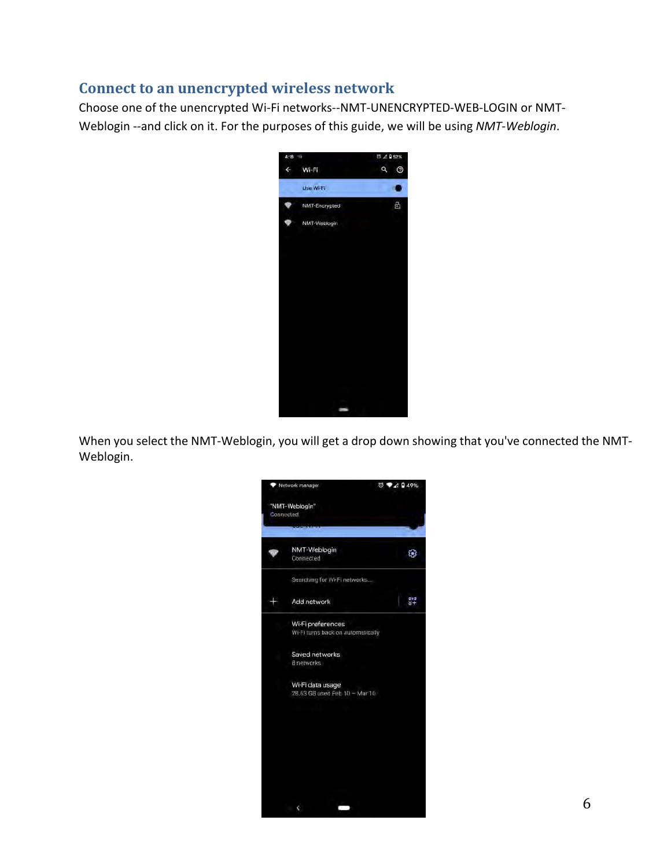#### **Connect to an unencrypted wireless network**

Choose one of the unencrypted Wi-Fi networks--NMT-UNENCRYPTED-WEB-LOGIN or NMT-Weblogin --and click on it. For the purposes of this guide, we will be using *NMT-Weblogin*.



When you select the NMT-Weblogin, you will get a drop down showing that you've connected the NMT-Weblogin.

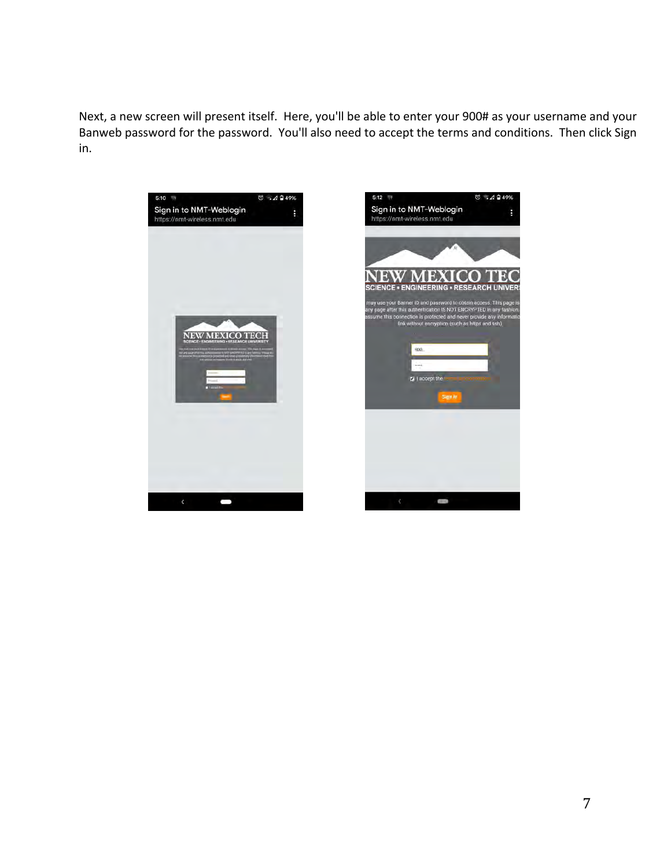Next, a new screen will present itself. Here, you'll be able to enter your 900# as your username and your Banweb password for the password. You'll also need to accept the terms and conditions. Then click Sign in.